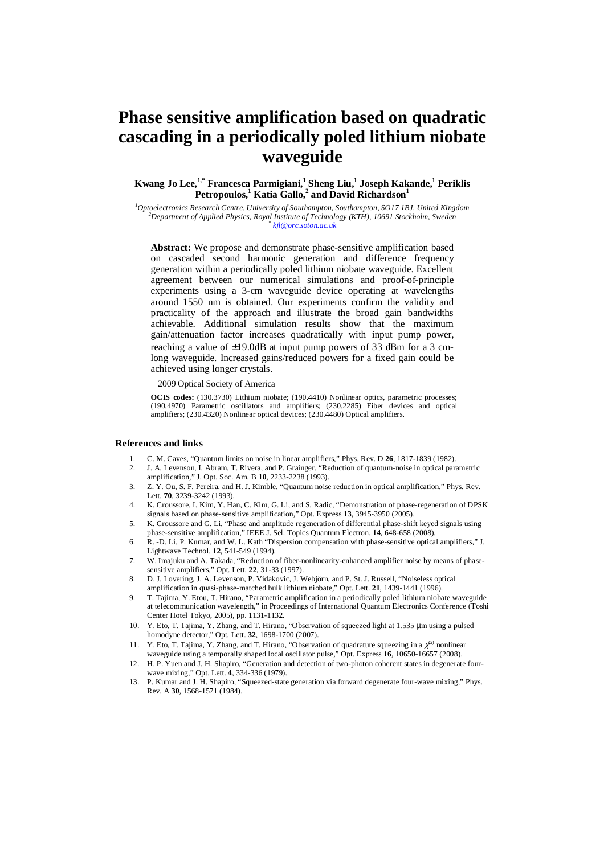# **Phase sensitive amplification based on quadratic cascading in a periodically poled lithium niobate waveguide**

## **Kwang Jo Lee,1,\* Francesca Parmigiani,<sup>1</sup> Sheng Liu,<sup>1</sup> Joseph Kakande,<sup>1</sup> Periklis Petropoulos,<sup>1</sup> Katia Gallo,<sup>2</sup> and David Richardson<sup>1</sup>**

*<sup>1</sup>Optoelectronics Research Centre, University of Southampton, Southampton, SO17 1BJ, United Kingdom <sup>2</sup>Department of Applied Physics, Royal Institute of Technology (KTH), 10691 Stockholm, Sweden \* kjl@orc.soton.ac.uk*

**Abstract:** We propose and demonstrate phase-sensitive amplification based on cascaded second harmonic generation and difference frequency generation within a periodically poled lithium niobate waveguide. Excellent agreement between our numerical simulations and proof-of-principle experiments using a 3-cm waveguide device operating at wavelengths around 1550 nm is obtained. Our experiments confirm the validity and practicality of the approach and illustrate the broad gain bandwidths achievable. Additional simulation results show that the maximum gain/attenuation factor increases quadratically with input pump power, reaching a value of ±19.0dB at input pump powers of 33 dBm for a 3 cmlong waveguide. Increased gains/reduced powers for a fixed gain could be achieved using longer crystals.

## 2009 Optical Society of America

**OCIS codes:** (130.3730) Lithium niobate; (190.4410) Nonlinear optics, parametric processes; (190.4970) Parametric oscillators and amplifiers; (230.2285) Fiber devices and optical amplifiers; (230.4320) Nonlinear optical devices; (230.4480) Optical amplifiers.

## **References and links**

- 1. C. M. Caves, "Quantum limits on noise in linear amplifiers," Phys. Rev. D **26**, 1817-1839 (1982).
- 2. J. A. Levenson, I. Abram, T. Rivera, and P. Grainger, "Reduction of quantum-noise in optical parametric amplification," J. Opt. Soc. Am. B **10**, 2233-2238 (1993).
- 3. Z. Y. Ou, S. F. Pereira, and H. J. Kimble, "Quantum noise reduction in optical amplification," Phys. Rev. Lett. **70**, 3239-3242 (1993).
- 4. K. Croussore, I. Kim, Y. Han, C. Kim, G. Li, and S. Radic, "Demonstration of phase-regeneration of DPSK signals based on phase-sensitive amplification," Opt. Express **13**, 3945-3950 (2005).
- 5. K. Croussore and G. Li, "Phase and amplitude regeneration of differential phase-shift keyed signals using phase-sensitive amplification," IEEE J. Sel. Topics Quantum Electron. **14**, 648-658 (2008).
- 6. R. -D. Li, P. Kumar, and W. L. Kath "Dispersion compensation with phase-sensitive optical amplifiers," J. Lightwave Technol. **12**, 541-549 (1994).
- 7. W. Imajuku and A. Takada, "Reduction of fiber-nonlinearity-enhanced amplifier noise by means of phasesensitive amplifiers," Opt. Lett. **22**, 31-33 (1997).
- 8. D. J. Lovering, J. A. Levenson, P. Vidakovic, J. Webjörn, and P. St. J. Russell, "Noiseless optical amplification in quasi-phase-matched bulk lithium niobate," Opt. Lett. **21**, 1439-1441 (1996).
- 9. T. Tajima, Y. Etou, T. Hirano, "Parametric amplification in a periodically poled lithium niobate waveguide at telecommunication wavelength," in Proceedings of International Quantum Electronics Conference (Toshi Center Hotel Tokyo, 2005), pp. 1131-1132.
- 10. Y. Eto, T. Tajima, Y. Zhang, and T. Hirano, "Observation of squeezed light at 1.535 µm using a pulsed homodyne detector," Opt. Lett. **32**, 1698-1700 (2007).
- 11. Y. Eto, T. Tajima, Y. Zhang, and T. Hirano, "Observation of quadrature squeezing in a  $\chi^{(2)}$  nonlinear waveguide using a temporally shaped local oscillator pulse," Opt. Express **16**, 10650-16657 (2008).
- 12. H. P. Yuen and J. H. Shapiro, "Generation and detection of two-photon coherent states in degenerate fourwave mixing," Opt. Lett. **4**, 334-336 (1979).
- 13. P. Kumar and J. H. Shapiro, "Squeezed-state generation via forward degenerate four-wave mixing," Phys. Rev. A **30**, 1568-1571 (1984).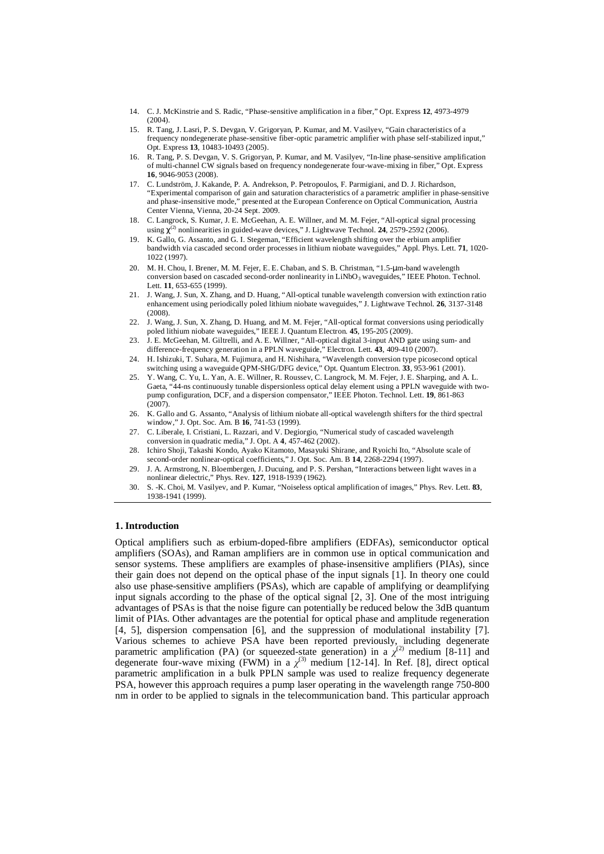- 14. C. J. McKinstrie and S. Radic, "Phase-sensitive amplification in a fiber," Opt. Express **12**, 4973-4979  $(2004)$
- 15. R. Tang, J. Lasri, P. S. Devgan, V. Grigoryan, P. Kumar, and M. Vasilyev, "Gain characteristics of a frequency nondegenerate phase-sensitive fiber-optic parametric amplifier with phase self-stabilized input," Opt. Express **13**, 10483-10493 (2005).
- 16. R. Tang, P. S. Devgan, V. S. Grigoryan, P. Kumar, and M. Vasilyev, "In-line phase-sensitive amplification of multi-channel CW signals based on frequency nondegenerate four-wave-mixing in fiber," Opt. Express **16**, 9046-9053 (2008).
- 17. C. Lundström, J. Kakande, P. A. Andrekson, P. Petropoulos, F. Parmigiani, and D. J. Richardson, "Experimental comparison of gain and saturation characteristics of a parametric amplifier in phase-sensitive and phase-insensitive mode," presented at the European Conference on Optical Communication, Austria Center Vienna, Vienna, 20-24 Sept. 2009.
- 18. C. Langrock, S. Kumar, J. E. McGeehan, A. E. Willner, and M. M. Fejer, "All-optical signal processing using  $\chi^{(2)}$  nonlinearities in guided-wave devices," J. Lightwave Technol. **24**, 2579-2592 (2006).
- 19. K. Gallo, G. Assanto, and G. I. Stegeman, "Efficient wavelength shifting over the erbium amplifier bandwidth via cascaded second order processes in lithium niobate waveguides," Appl. Phys. Lett. **71**, 1020- 1022 (1997).
- 20. M. H. Chou, I. Brener, M. M. Fejer, E. E. Chaban, and S. B. Christman, "1.5-µm-band wavelength conversion based on cascaded second-order nonlinearity in LiNbO<sub>3</sub> waveguides," IEEE Photon. Technol. Lett. **11**, 653-655 (1999).
- 21. J. Wang, J. Sun, X. Zhang, and D. Huang, "All-optical tunable wavelength conversion with extinction ratio enhancement using periodically poled lithium niobate waveguides," J. Lightwave Technol. **26**, 3137-3148 (2008).
- 22. J. Wang, J. Sun, X. Zhang, D. Huang, and M. M. Fejer, "All-optical format conversions using periodically poled lithium niobate waveguides," IEEE J. Quantum Electron. **45**, 195-205 (2009).
- 23. J. E. McGeehan, M. Giltrelli, and A. E. Willner, "All-optical digital 3-input AND gate using sum- and difference-frequency generation in a PPLN waveguide," Electron. Lett. **43**, 409-410 (2007).
- 24. H. Ishizuki, T. Suhara, M. Fujimura, and H. Nishihara, "Wavelength conversion type picosecond optical switching using a waveguide QPM-SHG/DFG device," Opt. Quantum Electron. **33**, 953-961 (2001).
- 25. Y. Wang, C. Yu, L. Yan, A. E. Willner, R. Roussev, C. Langrock, M. M. Fejer, J. E. Sharping, and A. L. Gaeta, "44-ns continuously tunable dispersionless optical delay element using a PPLN waveguide with twopump configuration, DCF, and a dispersion compensator," IEEE Photon. Technol. Lett. **19**, 861-863 (2007).
- 26. K. Gallo and G. Assanto, "Analysis of lithium niobate all-optical wavelength shifters for the third spectral window," J. Opt. Soc. Am. B **16**, 741-53 (1999).
- 27. C. Liberale, I. Cristiani, L. Razzari, and V. Degiorgio, "Numerical study of cascaded wavelength conversion in quadratic media," J. Opt. A **4**, 457-462 (2002).
- 28. Ichiro Shoji, Takashi Kondo, Ayako Kitamoto, Masayuki Shirane, and Ryoichi Ito, "Absolute scale of second-order nonlinear-optical coefficients," J. Opt. Soc. Am. B **14**, 2268-2294 (1997).
- 29. J. A. Armstrong, N. Bloembergen, J. Ducuing, and P. S. Pershan, "Interactions between light waves in a nonlinear dielectric," Phys. Rev. **127**, 1918-1939 (1962).
- 30. S. -K. Choi, M. Vasilyev, and P. Kumar, "Noiseless optical amplification of images," Phys. Rev. Lett. **83**, 1938-1941 (1999).

## **1. Introduction**

Optical amplifiers such as erbium-doped-fibre amplifiers (EDFAs), semiconductor optical amplifiers (SOAs), and Raman amplifiers are in common use in optical communication and sensor systems. These amplifiers are examples of phase-insensitive amplifiers (PIAs), since their gain does not depend on the optical phase of the input signals [1]. In theory one could also use phase-sensitive amplifiers (PSAs), which are capable of amplifying or deamplifying input signals according to the phase of the optical signal [2, 3]. One of the most intriguing advantages of PSAs is that the noise figure can potentially be reduced below the 3dB quantum limit of PIAs. Other advantages are the potential for optical phase and amplitude regeneration [4, 5], dispersion compensation [6], and the suppression of modulational instability [7]. Various schemes to achieve PSA have been reported previously, including degenerate parametric amplification (PA) (or squeezed-state generation) in a  $\chi^{(2)}$  medium [8-11] and degenerate four-wave mixing (FWM) in a  $\chi^{(3)}$  medium [12-14]. In Ref. [8], direct optical parametric amplification in a bulk PPLN sample was used to realize frequency degenerate PSA, however this approach requires a pump laser operating in the wavelength range 750-800 nm in order to be applied to signals in the telecommunication band. This particular approach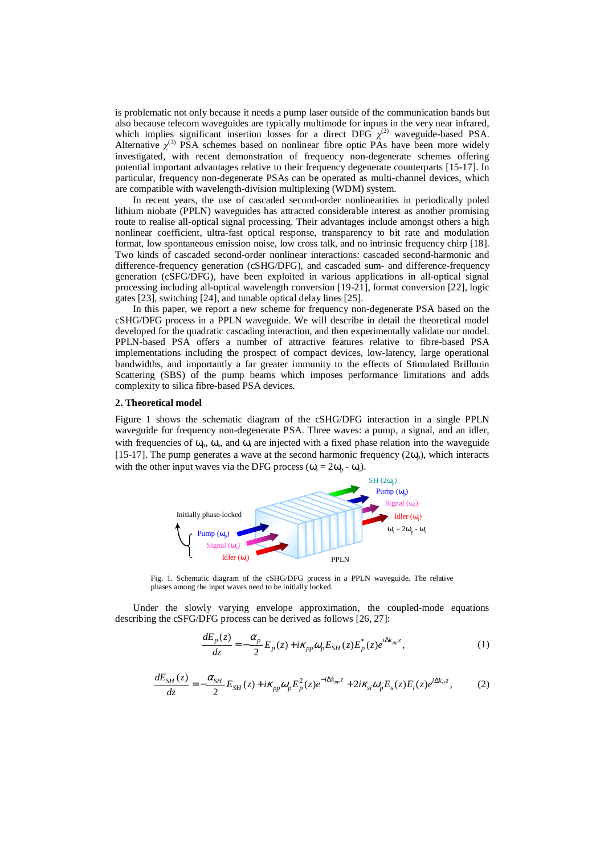is problematic not only because it needs a pump laser outside of the communication bands but also because telecom waveguides are typically multimode for inputs in the very near infrared, which implies significant insertion losses for a direct DFG  $\chi^{(2)}$  waveguide-based PSA. Alternative  $\chi^{(3)}$  PSA schemes based on nonlinear fibre optic PAs have been more widely investigated, with recent demonstration of frequency non-degenerate schemes offering potential important advantages relative to their frequency degenerate counterparts [15-17]. In particular, frequency non-degenerate PSAs can be operated as multi-channel devices, which are compatible with wavelength-division multiplexing (WDM) system.

In recent years, the use of cascaded second-order nonlinearities in periodically poled lithium niobate (PPLN) waveguides has attracted considerable interest as another promising route to realise all-optical signal processing. Their advantages include amongst others a high nonlinear coefficient, ultra-fast optical response, transparency to bit rate and modulation format, low spontaneous emission noise, low cross talk, and no intrinsic frequency chirp [18]. Two kinds of cascaded second-order nonlinear interactions: cascaded second-harmonic and difference-frequency generation (cSHG/DFG), and cascaded sum- and difference-frequency generation (cSFG/DFG), have been exploited in various applications in all-optical signal processing including all-optical wavelength conversion [19-21], format conversion [22], logic gates [23], switching [24], and tunable optical delay lines [25].

In this paper, we report a new scheme for frequency non-degenerate PSA based on the cSHG/DFG process in a PPLN waveguide. We will describe in detail the theoretical model developed for the quadratic cascading interaction, and then experimentally validate our model. PPLN-based PSA offers a number of attractive features relative to fibre-based PSA implementations including the prospect of compact devices, low-latency, large operational bandwidths, and importantly a far greater immunity to the effects of Stimulated Brillouin Scattering (SBS) of the pump beams which imposes performance limitations and adds complexity to silica fibre-based PSA devices.

#### **2. Theoretical model**

Figure 1 shows the schematic diagram of the cSHG/DFG interaction in a single PPLN waveguide for frequency non-degenerate PSA. Three waves: a pump, a signal, and an idler, with frequencies of  $\omega_p$ ,  $\omega_s$ , and  $\omega_i$  are injected with a fixed phase relation into the waveguide [15-17]. The pump generates a wave at the second harmonic frequency  $(2\omega_p)$ , which interacts with the other input waves via the DFG process ( $\omega_i = 2\omega_p - \omega_s$ ).



Fig. 1. Schematic diagram of the cSHG/DFG process in a PPLN waveguide. The relative phases among the input waves need to be initially locked.

Under the slowly varying envelope approximation, the coupled-mode equations describing the cSFG/DFG process can be derived as follows [26, 27]:

$$
\frac{dE_p(z)}{dz} = -\frac{\alpha_p}{2} E_p(z) + i\kappa_{pp} \omega_p E_{SH}(z) E_p^*(z) e^{i\Delta k_{pp} z},\tag{1}
$$

$$
\frac{dE_{SH}(z)}{dz} = -\frac{\alpha_{SH}}{2} E_{SH}(z) + i\kappa_{pp}\omega_p E_p^2(z)e^{-i\Delta k_{pp}z} + 2i\kappa_{si}\omega_p E_s(z)E_i(z)e^{i\Delta k_{si}z},\tag{2}
$$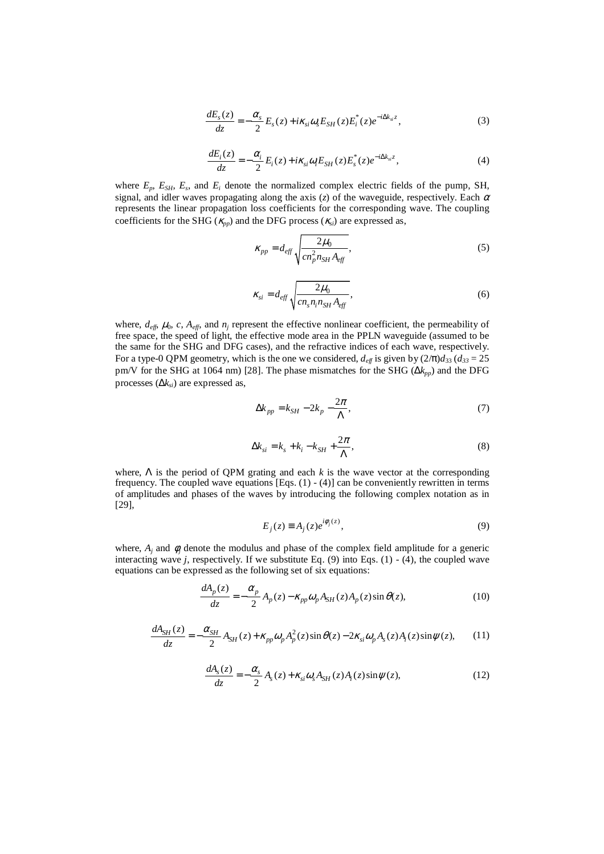$$
\frac{dE_s(z)}{dz} = -\frac{\alpha_s}{2} E_s(z) + i\kappa_{si}\omega_s E_{SH}(z) E_i^*(z) e^{-i\Delta k_{si}z},\tag{3}
$$

$$
\frac{dE_i(z)}{dz} = -\frac{\alpha_i}{2} E_i(z) + i\kappa_{si}\omega_i E_{SH}(z) E_s^*(z) e^{-i\Delta k_{si}z},\tag{4}
$$

where  $E_p$ ,  $E_{SH}$ ,  $E_s$ , and  $E_i$  denote the normalized complex electric fields of the pump, SH, signal, and idler waves propagating along the axis (*z*) of the waveguide, respectively. Each  $\alpha$ represents the linear propagation loss coefficients for the corresponding wave. The coupling coefficients for the SHG ( $\kappa_{pp}$ ) and the DFG process ( $\kappa_{si}$ ) are expressed as,

$$
\kappa_{pp} = d_{\text{eff}} \sqrt{\frac{2\mu_0}{cn_p^2 n_{SH} A_{\text{eff}}}},\tag{5}
$$

$$
\kappa_{si} = d_{eff} \sqrt{\frac{2\mu_0}{cn_s n_i n_{SH} A_{eff}}},\tag{6}
$$

where,  $d_{\text{eff}}$ ,  $\mu_0$ ,  $c$ ,  $A_{\text{eff}}$ , and  $n_j$  represent the effective nonlinear coefficient, the permeability of free space, the speed of light, the effective mode area in the PPLN waveguide (assumed to be the same for the SHG and DFG cases), and the refractive indices of each wave, respectively. For a type-0 QPM geometry, which is the one we considered,  $d_{\text{eff}}$  is given by  $(2/\pi)d_{33}$  ( $d_{33} = 25$ ) pm/V for the SHG at 1064 nm) [28]. The phase mismatches for the SHG (∆*kpp*) and the DFG processes (∆*ksi*) are expressed as,

$$
\Delta k_{pp} = k_{SH} - 2k_p - \frac{2\pi}{\Lambda},\tag{7}
$$

$$
\Delta k_{si} = k_s + k_i - k_{SH} + \frac{2\pi}{\Lambda},\tag{8}
$$

where,  $\Lambda$  is the period of QPM grating and each  $k$  is the wave vector at the corresponding frequency. The coupled wave equations [Eqs.  $(1)$  -  $(4)$ ] can be conveniently rewritten in terms of amplitudes and phases of the waves by introducing the following complex notation as in [29],

$$
E_j(z) \equiv A_j(z)e^{i\phi_j(z)},\tag{9}
$$

where,  $A_j$  and  $\phi_j$  denote the modulus and phase of the complex field amplitude for a generic interacting wave *j*, respectively. If we substitute Eq. (9) into Eqs. (1) - (4), the coupled wave equations can be expressed as the following set of six equations:

$$
\frac{dA_p(z)}{dz} = -\frac{\alpha_p}{2} A_p(z) - \kappa_{pp} \omega_p A_{SH}(z) A_p(z) \sin \theta(z),\tag{10}
$$

$$
\frac{dA_{SH}(z)}{dz} = -\frac{\alpha_{SH}}{2} A_{SH}(z) + \kappa_{pp} \omega_p A_p^2(z) \sin \theta(z) - 2\kappa_{si} \omega_p A_s(z) A_i(z) \sin \psi(z),\tag{11}
$$

$$
\frac{dA_s(z)}{dz} = -\frac{\alpha_s}{2} A_s(z) + \kappa_{si} \omega_s A_{SH}(z) A_i(z) \sin \psi(z),\tag{12}
$$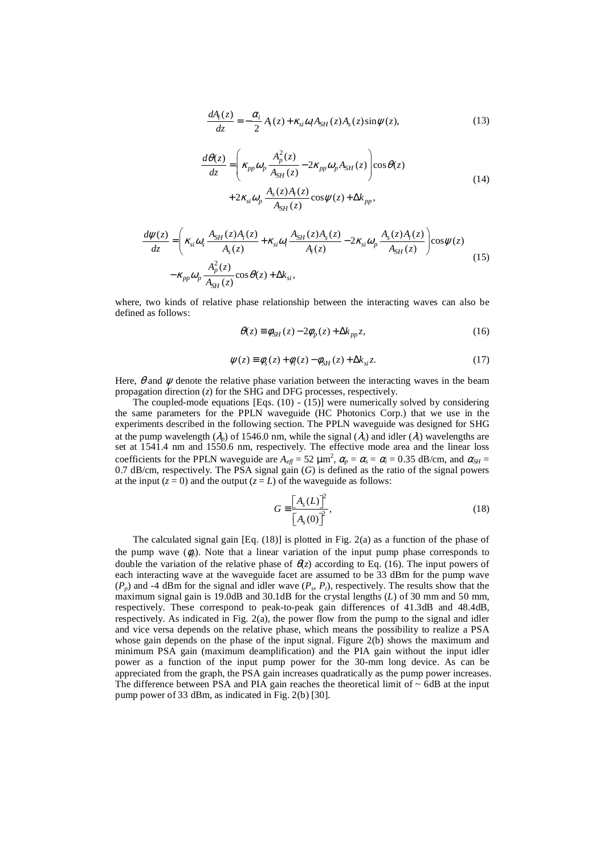$$
\frac{dA_i(z)}{dz} = -\frac{\alpha_i}{2} A_i(z) + \kappa_{si} \omega_i A_{SH}(z) A_s(z) \sin \psi(z),\tag{13}
$$

$$
\frac{d\theta(z)}{dz} = \left(\kappa_{pp}\omega_p \frac{A_p^2(z)}{A_{SH}(z)} - 2\kappa_{pp}\omega_p A_{SH}(z)\right) \cos\theta(z) \n+ 2\kappa_{si}\omega_p \frac{A_s(z)A_i(z)}{A_{SH}(z)} \cos\psi(z) + \Delta k_{pp},
$$
\n(14)

$$
\frac{d\psi(z)}{dz} = \left(\kappa_{si}\omega_s \frac{A_{SH}(z)A_i(z)}{A_s(z)} + \kappa_{si}\omega_i \frac{A_{SH}(z)A_s(z)}{A_i(z)} - 2\kappa_{si}\omega_p \frac{A_s(z)A_i(z)}{A_{SH}(z)}\right) \cos\psi(z) \n- \kappa_{pp}\omega_p \frac{A_p^2(z)}{A_{SH}(z)} \cos\theta(z) + \Delta k_{si},
$$
\n(15)

where, two kinds of relative phase relationship between the interacting waves can also be defined as follows:

$$
\theta(z) \equiv \phi_{SH}(z) - 2\phi_p(z) + \Delta k_{pp} z,\tag{16}
$$

$$
\psi(z) \equiv \phi_s(z) + \phi_i(z) - \phi_{SH}(z) + \Delta k_{si} z. \tag{17}
$$

Here,  $\theta$  and  $\psi$  denote the relative phase variation between the interacting waves in the beam propagation direction (*z*) for the SHG and DFG processes, respectively.

The coupled-mode equations [Eqs. (10) - (15)] were numerically solved by considering the same parameters for the PPLN waveguide (HC Photonics Corp.) that we use in the experiments described in the following section. The PPLN waveguide was designed for SHG at the pump wavelength ( $\lambda_p$ ) of 1546.0 nm, while the signal ( $\lambda_s$ ) and idler ( $\lambda_i$ ) wavelengths are set at 1541.4 nm and 1550.6 nm, respectively. The effective mode area and the linear loss coefficients for the PPLN waveguide are  $A_{\text{eff}} = 52 \mu \text{m}^2$ ,  $\alpha_p = \alpha_s = \alpha_i = 0.35 \text{ dB/cm}$ , and  $\alpha_{SH} =$ 0.7 dB/cm, respectively. The PSA signal gain (*G*) is defined as the ratio of the signal powers at the input  $(z = 0)$  and the output  $(z = L)$  of the waveguide as follows:

$$
G \equiv \frac{\left[A_s(L)\right]^2}{\left[A_s(0)\right]^2},\tag{18}
$$

The calculated signal gain [Eq. (18)] is plotted in Fig. 2(a) as a function of the phase of the pump wave  $(\phi_n)$ . Note that a linear variation of the input pump phase corresponds to double the variation of the relative phase of  $\theta(z)$  according to Eq. (16). The input powers of each interacting wave at the waveguide facet are assumed to be 33 dBm for the pump wave  $(P_p)$  and -4 dBm for the signal and idler wave  $(P_s, P_i)$ , respectively. The results show that the maximum signal gain is 19.0dB and 30.1dB for the crystal lengths (*L*) of 30 mm and 50 mm, respectively. These correspond to peak-to-peak gain differences of 41.3dB and 48.4dB, respectively. As indicated in Fig. 2(a), the power flow from the pump to the signal and idler and vice versa depends on the relative phase, which means the possibility to realize a PSA whose gain depends on the phase of the input signal. Figure 2(b) shows the maximum and minimum PSA gain (maximum deamplification) and the PIA gain without the input idler power as a function of the input pump power for the 30-mm long device. As can be appreciated from the graph, the PSA gain increases quadratically as the pump power increases. The difference between PSA and PIA gain reaches the theoretical limit of  $\sim$  6dB at the input pump power of 33 dBm, as indicated in Fig. 2(b) [30].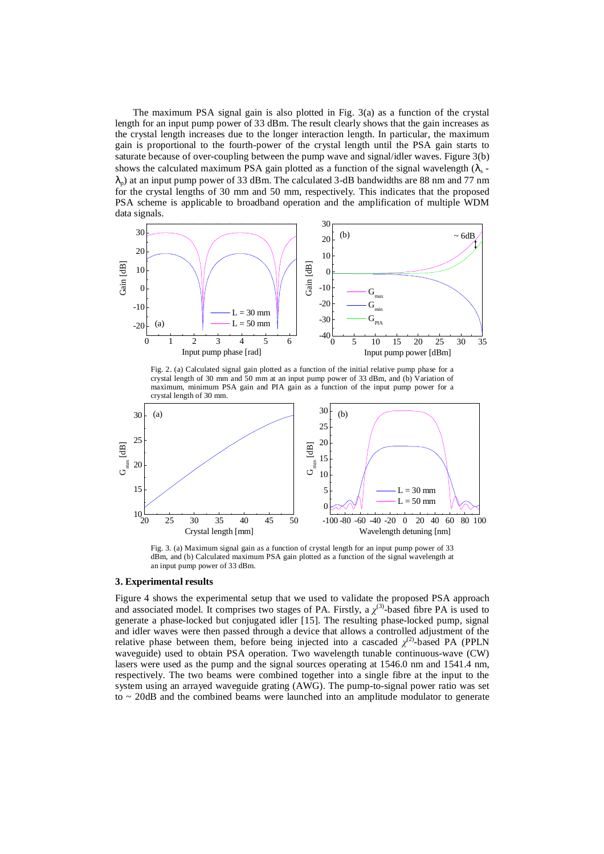The maximum PSA signal gain is also plotted in Fig. 3(a) as a function of the crystal length for an input pump power of 33 dBm. The result clearly shows that the gain increases as the crystal length increases due to the longer interaction length. In particular, the maximum gain is proportional to the fourth-power of the crystal length until the PSA gain starts to saturate because of over-coupling between the pump wave and signal/idler waves. Figure 3(b) shows the calculated maximum PSA gain plotted as a function of the signal wavelength  $(\lambda_s \lambda_p$ ) at an input pump power of 33 dBm. The calculated 3-dB bandwidths are 88 nm and 77 nm for the crystal lengths of 30 mm and 50 mm, respectively. This indicates that the proposed PSA scheme is applicable to broadband operation and the amplification of multiple WDM data signals.



Fig. 2. (a) Calculated signal gain plotted as a function of the initial relative pump phase for a crystal length of 30 mm and 50 mm at an input pump power of 33 dBm, and (b) Variation of maximum, minimum PSA gain and PIA gain as a function of the input pump power for a crystal length of 30 mm.



Fig. 3. (a) Maximum signal gain as a function of crystal length for an input pump power of 33 dBm, and (b) Calculated maximum PSA gain plotted as a function of the signal wavelength at an input pump power of 33 dBm.

#### **3. Experimental results**

Figure 4 shows the experimental setup that we used to validate the proposed PSA approach and associated model. It comprises two stages of PA. Firstly, a  $\chi^{(3)}$ -based fibre PA is used to generate a phase-locked but conjugated idler [15]. The resulting phase-locked pump, signal and idler waves were then passed through a device that allows a controlled adjustment of the relative phase between them, before being injected into a cascaded  $\chi^{(2)}$ -based PA (PPLN waveguide) used to obtain PSA operation. Two wavelength tunable continuous-wave (CW) lasers were used as the pump and the signal sources operating at 1546.0 nm and 1541.4 nm, respectively. The two beams were combined together into a single fibre at the input to the system using an arrayed waveguide grating (AWG). The pump-to-signal power ratio was set to ~ 20dB and the combined beams were launched into an amplitude modulator to generate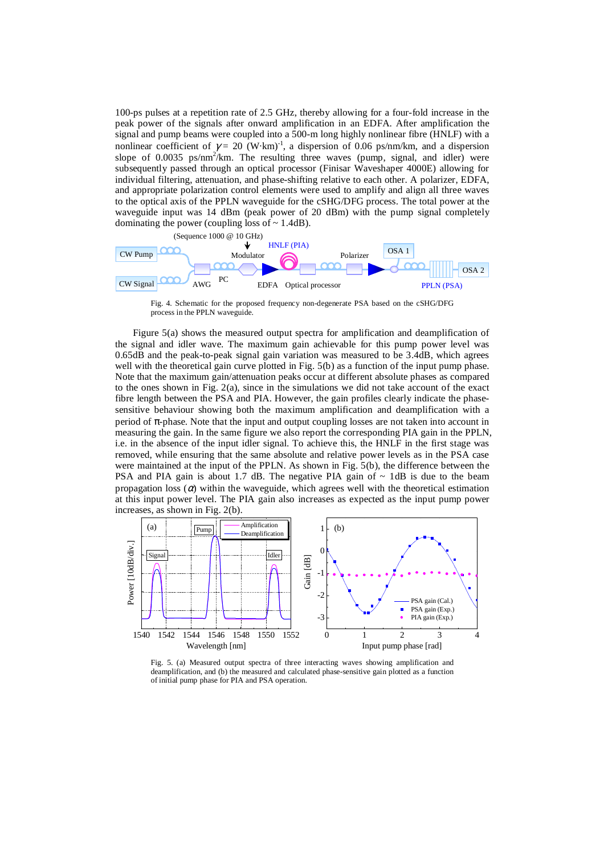100-ps pulses at a repetition rate of 2.5 GHz, thereby allowing for a four-fold increase in the peak power of the signals after onward amplification in an EDFA. After amplification the signal and pump beams were coupled into a 500-m long highly nonlinear fibre (HNLF) with a nonlinear coefficient of  $\gamma = 20$  (W·km)<sup>-1</sup>, a dispersion of 0.06 ps/nm/km, and a dispersion slope of 0.0035 ps/nm<sup>2</sup>/km. The resulting three waves (pump, signal, and idler) were subsequently passed through an optical processor (Finisar Waveshaper 4000E) allowing for individual filtering, attenuation, and phase-shifting relative to each other. A polarizer, EDFA, and appropriate polarization control elements were used to amplify and align all three waves to the optical axis of the PPLN waveguide for the cSHG/DFG process. The total power at the waveguide input was 14 dBm (peak power of 20 dBm) with the pump signal completely dominating the power (coupling loss of  $\sim$  1.4dB).



Fig. 4. Schematic for the proposed frequency non-degenerate PSA based on the cSHG/DFG process in the PPLN waveguide.

Figure 5(a) shows the measured output spectra for amplification and deamplification of the signal and idler wave. The maximum gain achievable for this pump power level was 0.65dB and the peak-to-peak signal gain variation was measured to be 3.4dB, which agrees well with the theoretical gain curve plotted in Fig. 5(b) as a function of the input pump phase. Note that the maximum gain/attenuation peaks occur at different absolute phases as compared to the ones shown in Fig.  $2(a)$ , since in the simulations we did not take account of the exact fibre length between the PSA and PIA. However, the gain profiles clearly indicate the phasesensitive behaviour showing both the maximum amplification and deamplification with a period of π-phase. Note that the input and output coupling losses are not taken into account in measuring the gain. In the same figure we also report the corresponding PIA gain in the PPLN, i.e. in the absence of the input idler signal. To achieve this, the HNLF in the first stage was removed, while ensuring that the same absolute and relative power levels as in the PSA case were maintained at the input of the PPLN. As shown in Fig. 5(b), the difference between the PSA and PIA gain is about 1.7 dB. The negative PIA gain of  $\sim$  1dB is due to the beam propagation loss  $(\alpha)$  within the waveguide, which agrees well with the theoretical estimation at this input power level. The PIA gain also increases as expected as the input pump power increases, as shown in Fig. 2(b).



Fig. 5. (a) Measured output spectra of three interacting waves showing amplification and deamplification, and (b) the measured and calculated phase-sensitive gain plotted as a function of initial pump phase for PIA and PSA operation.